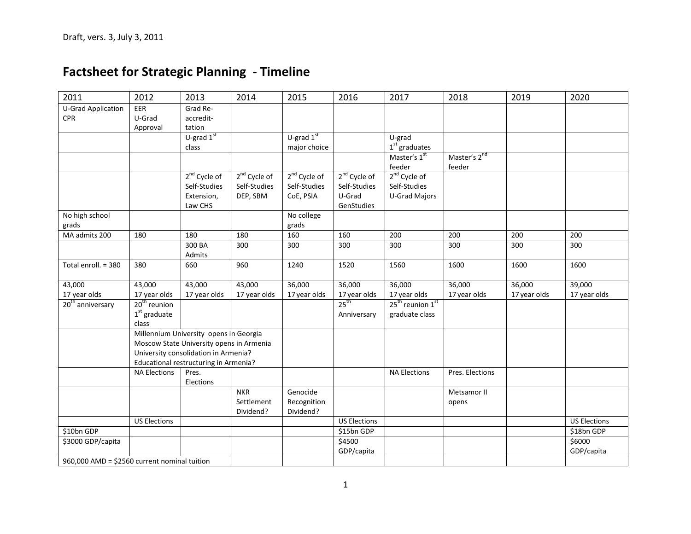# **Factsheet for Strategic Planning - Timeline**

| 2011                                         | 2012                                     | 2013                                  | 2014                     | 2015                     | 2016                     | 2017                                     | 2018                     | 2019         | 2020                |
|----------------------------------------------|------------------------------------------|---------------------------------------|--------------------------|--------------------------|--------------------------|------------------------------------------|--------------------------|--------------|---------------------|
| <b>U-Grad Application</b>                    | EER                                      | Grad Re-                              |                          |                          |                          |                                          |                          |              |                     |
| <b>CPR</b>                                   | U-Grad                                   | accredit-<br>tation                   |                          |                          |                          |                                          |                          |              |                     |
|                                              | Approval                                 | U-grad $1st$                          |                          | U-grad $1st$             |                          | U-grad                                   |                          |              |                     |
|                                              |                                          | class                                 |                          | major choice             |                          | $1st$ graduates                          |                          |              |                     |
|                                              |                                          |                                       |                          |                          |                          | Master's 1st                             | Master's 2 <sup>nd</sup> |              |                     |
|                                              |                                          |                                       |                          |                          |                          | feeder                                   | feeder                   |              |                     |
|                                              |                                          | $2nd$ Cycle of                        | 2 <sup>nd</sup> Cycle of | 2 <sup>nd</sup> Cycle of | 2 <sup>nd</sup> Cycle of | 2 <sup>nd</sup> Cycle of                 |                          |              |                     |
|                                              |                                          | Self-Studies                          | Self-Studies             | Self-Studies             | Self-Studies             | Self-Studies                             |                          |              |                     |
|                                              |                                          | Extension,                            | DEP, SBM                 | CoE, PSIA                | U-Grad                   | <b>U-Grad Majors</b>                     |                          |              |                     |
|                                              |                                          | Law CHS                               |                          |                          | GenStudies               |                                          |                          |              |                     |
| No high school                               |                                          |                                       |                          | No college               |                          |                                          |                          |              |                     |
| grads                                        |                                          |                                       |                          | grads                    |                          |                                          |                          |              |                     |
| MA admits 200                                | 180                                      | 180                                   | 180                      | 160                      | 160                      | 200                                      | 200                      | 200          | 200                 |
|                                              |                                          | 300 BA                                | 300                      | 300                      | 300                      | 300                                      | 300                      | 300          | 300                 |
|                                              |                                          | Admits                                |                          |                          |                          |                                          |                          |              |                     |
| Total enroll. = 380                          | 380                                      | 660                                   | 960                      | 1240                     | 1520                     | 1560                                     | 1600                     | 1600         | 1600                |
| 43,000                                       | 43,000                                   | 43,000                                | 43,000                   | 36,000                   | 36,000                   | 36,000                                   | 36,000                   | 36,000       | 39,000              |
| 17 year olds                                 | 17 year olds                             | 17 year olds                          | 17 year olds             | 17 year olds             | 17 year olds             | 17 year olds                             | 17 year olds             | 17 year olds | 17 year olds        |
| $20th$ anniversary                           | $20th$ reunion                           |                                       |                          |                          | 25 <sup>th</sup>         | 25 <sup>th</sup> reunion 1 <sup>st</sup> |                          |              |                     |
|                                              | $1st$ graduate                           |                                       |                          |                          | Anniversary              | graduate class                           |                          |              |                     |
|                                              | class                                    |                                       |                          |                          |                          |                                          |                          |              |                     |
|                                              | Millennium University opens in Georgia   |                                       |                          |                          |                          |                                          |                          |              |                     |
|                                              | Moscow State University opens in Armenia |                                       |                          |                          |                          |                                          |                          |              |                     |
|                                              | University consolidation in Armenia?     |                                       |                          |                          |                          |                                          |                          |              |                     |
|                                              |                                          | Educational restructuring in Armenia? |                          |                          |                          |                                          |                          |              |                     |
|                                              | <b>NA Elections</b>                      | Pres.                                 |                          |                          |                          | <b>NA Elections</b>                      | Pres. Elections          |              |                     |
|                                              |                                          | Elections                             |                          |                          |                          |                                          |                          |              |                     |
|                                              |                                          |                                       | <b>NKR</b>               | Genocide                 |                          |                                          | Metsamor II              |              |                     |
|                                              |                                          |                                       | Settlement               | Recognition              |                          |                                          | opens                    |              |                     |
|                                              | <b>US Elections</b>                      |                                       | Dividend?                | Dividend?                | <b>US Elections</b>      |                                          |                          |              | <b>US Elections</b> |
| \$10bn GDP                                   |                                          |                                       |                          |                          | \$15bn GDP               |                                          |                          |              | \$18bn GDP          |
| \$3000 GDP/capita                            |                                          |                                       |                          |                          | \$4500                   |                                          |                          |              | \$6000              |
|                                              |                                          |                                       |                          |                          | GDP/capita               |                                          |                          |              | GDP/capita          |
| 960,000 AMD = \$2560 current nominal tuition |                                          |                                       |                          |                          |                          |                                          |                          |              |                     |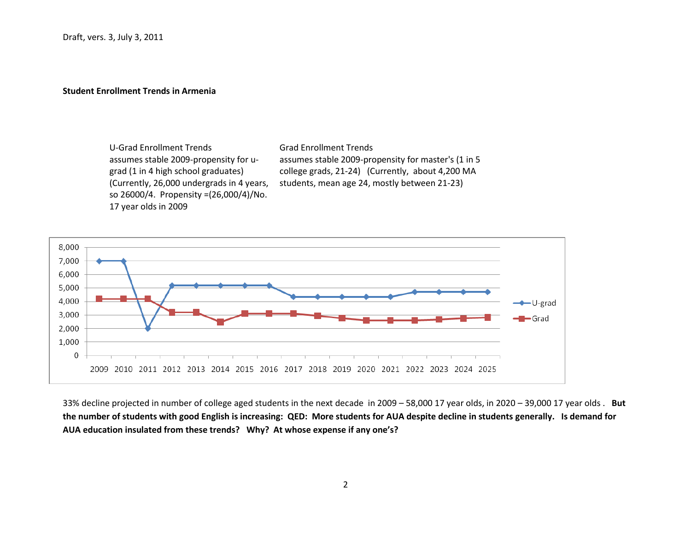#### **Student Enrollment Trends in Armenia**

U-Grad Enrollment Trends Grad Enrollment Trends assumes stable 2009-propensity for ugrad (1 in 4 high school graduates) (Currently, 26,000 undergrads in 4 years, so 26000/4. Propensity =(26,000/4)/No. 17 year olds in 2009

assumes stable 2009-propensity for master's (1 in 5 college grads, 21-24) (Currently, about 4,200 MA students, mean age 24, mostly between 21-23)



33% decline projected in number of college aged students in the next decade in 2009 – 58,000 17 year olds, in 2020 – 39,000 17 year olds . **But the number of students with good English is increasing: QED: More students for AUA despite decline in students generally. Is demand for AUA education insulated from these trends? Why? At whose expense if any one's?**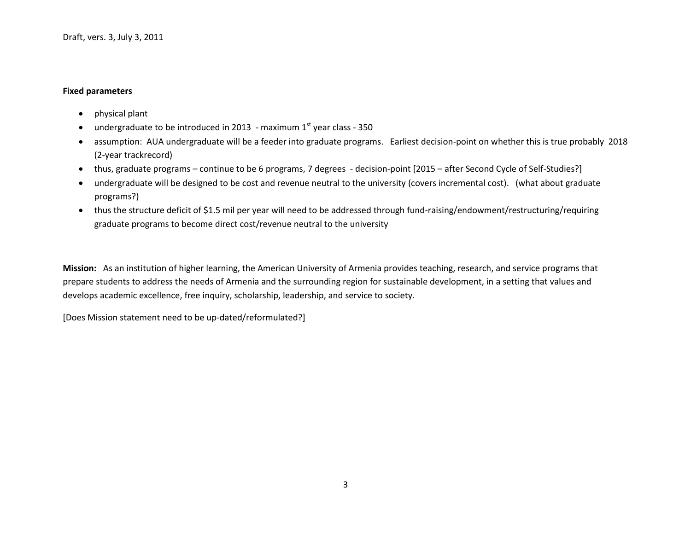#### **Fixed parameters**

- physical plant
- undergraduate to be introduced in 2013 maximum  $1<sup>st</sup>$  year class 350
- assumption: AUA undergraduate will be a feeder into graduate programs. Earliest decision-point on whether this is true probably 2018 (2-year trackrecord)
- thus, graduate programs continue to be 6 programs, 7 degrees decision-point [2015 after Second Cycle of Self-Studies?]
- undergraduate will be designed to be cost and revenue neutral to the university (covers incremental cost). (what about graduate programs?)
- thus the structure deficit of \$1.5 mil per year will need to be addressed through fund-raising/endowment/restructuring/requiring graduate programs to become direct cost/revenue neutral to the university

**Mission:** As an institution of higher learning, the American University of Armenia provides teaching, research, and service programs that prepare students to address the needs of Armenia and the surrounding region for sustainable development, in a setting that values and develops academic excellence, free inquiry, scholarship, leadership, and service to society.

[Does Mission statement need to be up-dated/reformulated?]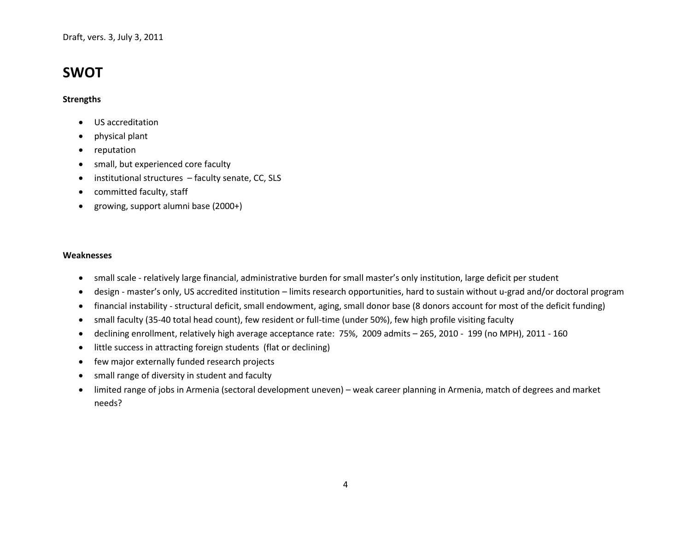Draft, vers. 3, July 3, 2011

## **SWOT**

#### **Strengths**

- US accreditation
- physical plant
- reputation
- small, but experienced core faculty
- institutional structures faculty senate, CC, SLS
- committed faculty, staff
- growing, support alumni base (2000+)

#### **Weaknesses**

- small scale relatively large financial, administrative burden for small master's only institution, large deficit per student
- design master's only, US accredited institution limits research opportunities, hard to sustain without u-grad and/or doctoral program
- financial instability structural deficit, small endowment, aging, small donor base (8 donors account for most of the deficit funding)
- small faculty (35-40 total head count), few resident or full-time (under 50%), few high profile visiting faculty
- declining enrollment, relatively high average acceptance rate: 75%, 2009 admits 265, 2010 199 (no MPH), 2011 160
- little success in attracting foreign students (flat or declining)
- few major externally funded research projects
- small range of diversity in student and faculty
- limited range of jobs in Armenia (sectoral development uneven) weak career planning in Armenia, match of degrees and market needs?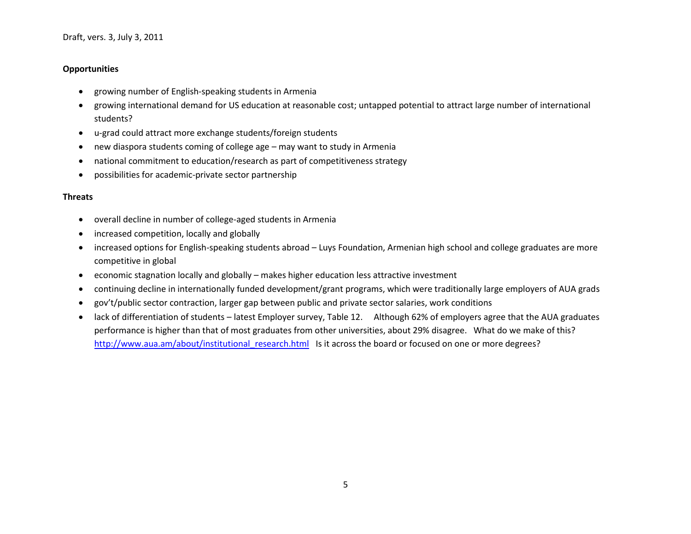#### **Opportunities**

- growing number of English-speaking students in Armenia
- growing international demand for US education at reasonable cost; untapped potential to attract large number of international students?
- u-grad could attract more exchange students/foreign students
- new diaspora students coming of college age may want to study in Armenia
- national commitment to education/research as part of competitiveness strategy
- possibilities for academic-private sector partnership

#### **Threats**

- overall decline in number of college-aged students in Armenia
- increased competition, locally and globally
- increased options for English-speaking students abroad Luys Foundation, Armenian high school and college graduates are more competitive in global
- economic stagnation locally and globally makes higher education less attractive investment
- continuing decline in internationally funded development/grant programs, which were traditionally large employers of AUA grads
- gov't/public sector contraction, larger gap between public and private sector salaries, work conditions
- lack of differentiation of students latest Employer survey, Table 12. Although 62% of employers agree that the AUA graduates performance is higher than that of most graduates from other universities, about 29% disagree. What do we make of this? [http://www.aua.am/about/institutional\\_research.html](http://www.aua.am/about/institutional_research.html) Is it across the board or focused on one or more degrees?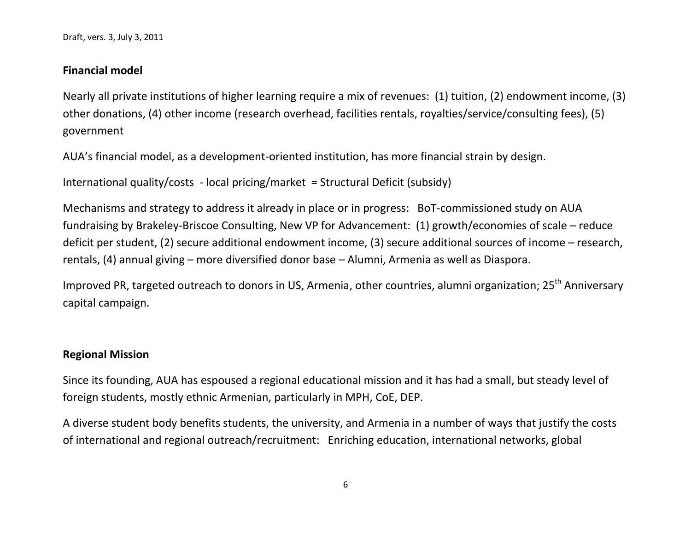Draft, vers. 3, July 3, 2011

### **Financial model**

Nearly all private institutions of higher learning require a mix of revenues: (1) tuition, (2) endowment income, (3) other donations, (4) other income (research overhead, facilities rentals, royalties/service/consulting fees), (5) government

AUA's financial model, as a development-oriented institution, has more financial strain by design.

International quality/costs - local pricing/market = Structural Deficit (subsidy)

Mechanisms and strategy to address it already in place or in progress: BoT-commissioned study on AUA fundraising by Brakeley-Briscoe Consulting, New VP for Advancement: (1) growth/economies of scale – reduce deficit per student, (2) secure additional endowment income, (3) secure additional sources of income – research, rentals, (4) annual giving – more diversified donor base – Alumni, Armenia as well as Diaspora.

Improved PR, targeted outreach to donors in US, Armenia, other countries, alumni organization; 25<sup>th</sup> Anniversary capital campaign.

## **Regional Mission**

Since its founding, AUA has espoused a regional educational mission and it has had a small, but steady level of foreign students, mostly ethnic Armenian, particularly in MPH, CoE, DEP.

A diverse student body benefits students, the university, and Armenia in a number of ways that justify the costs of international and regional outreach/recruitment: Enriching education, international networks, global